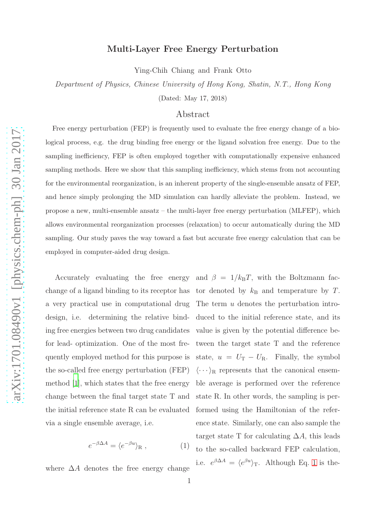## Multi-Layer Free Energy Perturbation

Ying-Chih Chiang and Frank Otto

Department of Physics, Chinese University of Hong Kong, Shatin, N.T., Hong Kong

(Dated: May 17, 2018)

## Abstract

Free energy perturbation (FEP) is frequently used to evaluate the free energy change of a biological process, e.g. the drug binding free energy or the ligand solvation free energy. Due to the sampling inefficiency, FEP is often employed together with computationally expensive enhanced sampling methods. Here we show that this sampling inefficiency, which stems from not accounting for the environmental reorganization, is an inherent property of the single-ensemble ansatz of FEP, and hence simply prolonging the MD simulation can hardly alleviate the problem. Instead, we propose a new, multi-ensemble ansatz – the multi-layer free energy perturbation (MLFEP), which allows environmental reorganization processes (relaxation) to occur automatically during the MD sampling. Our study paves the way toward a fast but accurate free energy calculation that can be employed in computer-aided drug design.

design, i.e. determining the relative binding free energies between two drug candidates for lead- optimization. One of the most frequently employed method for this purpose is the so-called free energy perturbation (FEP) method [\[1](#page-3-0)], which states that the free energy via a single ensemble average, i.e.

<span id="page-0-0"></span>
$$
e^{-\beta \Delta A} = \langle e^{-\beta u} \rangle_{\mathcal{R}} , \qquad (1)
$$

where  $\Delta A$  denotes the free energy change

Accurately evaluating the free energy and  $\beta = 1/k_B T$ , with the Boltzmann facchange of a ligand binding to its receptor has tor denoted by  $k_B$  and temperature by T. a very practical use in computational drug The term u denotes the perturbation introchange between the final target state T and state R. In other words, the sampling is perthe initial reference state R can be evaluated formed using the Hamiltonian of the referduced to the initial reference state, and its value is given by the potential difference between the target state T and the reference state,  $u = U_T - U_R$ . Finally, the symbol  $\langle \cdots \rangle_R$  represents that the canonical ensemble average is performed over the reference ence state. Similarly, one can also sample the target state T for calculating  $\Delta A$ , this leads to the so-called backward FEP calculation, i.e.  $e^{\beta \Delta A} = \langle e^{\beta u} \rangle_{\rm T}$ . Although Eq. [1](#page-0-0) is the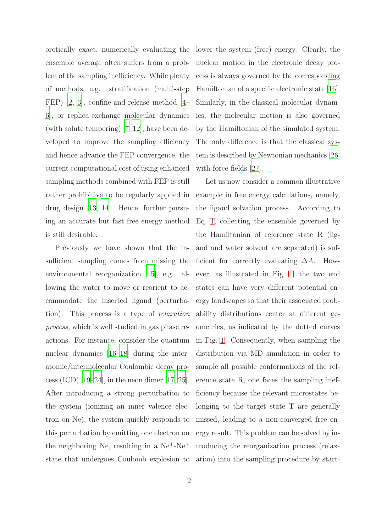ensemble average often suffers from a problem of the sampling inefficiency. While plenty of methods, e.g. stratification (multi-step FEP) [\[2](#page-3-1), [3](#page-3-2)], confine-and-release method [\[4](#page-3-3)– [6\]](#page-3-4), or replica-exchange molecular dynamics (with solute tempering) [\[7](#page-3-5)[–12\]](#page-4-0), have been developed to improve the sampling efficiency and hence advance the FEP convergence, the current computational cost of using enhanced sampling methods combined with FEP is still rather prohibitive to be regularly applied in drug design [\[13](#page-4-1), [14](#page-4-2)]. Hence, further pursuing an accurate but fast free energy method is still desirable.

Previously we have shown that the insufficient sampling comes from missing the environmental reorganization [\[15\]](#page-4-3), e.g. allowing the water to move or reorient to accommodate the inserted ligand (perturbation). This process is a type of relaxation process, which is well studied in gas phase reactions. For instance, consider the quantum nuclear dynamics [\[16](#page-4-4)[–18](#page-4-5)] during the interatomic/intermolecular Coulombic decay pro-cess (ICD) [\[19](#page-4-6)[–24\]](#page-4-7), in the neon dimer [\[17,](#page-4-8) [25\]](#page-4-9). After introducing a strong perturbation to the system (ionizing an inner valence electron on Ne), the system quickly responds to this perturbation by emitting one electron on the neighboring Ne, resulting in a  $Ne<sup>+</sup>-Ne<sup>+</sup>$ state that undergoes Coulomb explosion to

oretically exact, numerically evaluating the lower the system (free) energy. Clearly, the nuclear motion in the electronic decay process is always governed by the corresponding Hamiltonian of a specific electronic state [\[16\]](#page-4-4). Similarly, in the classical molecular dynamics, the molecular motion is also governed by the Hamiltonian of the simulated system. The only difference is that the classical system is described by Newtonian mechanics [\[26\]](#page-4-10) with force fields [\[27](#page-4-11)].

> Let us now consider a common illustrative example in free energy calculations, namely, the ligand solvation process. According to Eq. [1,](#page-0-0) collecting the ensemble governed by the Hamiltonian of reference state R (ligand and water solvent are separated) is sufficient for correctly evaluating  $\Delta A$ . However, as illustrated in Fig. [1,](#page-2-0) the two end states can have very different potential energy landscapes so that their associated probability distributions center at different geometries, as indicated by the dotted curves in Fig. [1.](#page-2-0) Consequently, when sampling the distribution via MD simulation in order to sample all possible conformations of the reference state R, one faces the sampling inefficiency because the relevant microstates belonging to the target state T are generally missed, leading to a non-converged free energy result. This problem can be solved by introducing the reorganization process (relaxation) into the sampling procedure by start-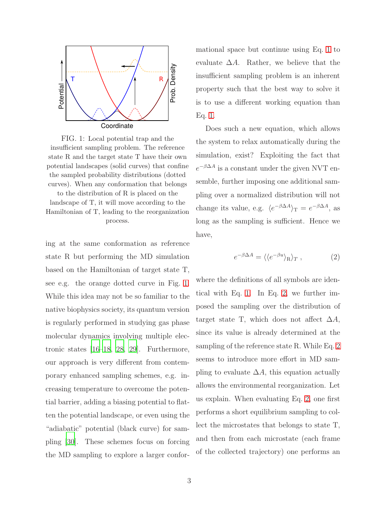<span id="page-2-0"></span>

FIG. 1: Local potential trap and the insufficient sampling problem. The reference state R and the target state T have their own potential landscapes (solid curves) that confine the sampled probability distributions (dotted curves). When any conformation that belongs

to the distribution of R is placed on the landscape of T, it will move according to the Hamiltonian of T, leading to the reorganization process.

ing at the same conformation as reference state R but performing the MD simulation based on the Hamiltonian of target state T, see e.g. the orange dotted curve in Fig. [1.](#page-2-0) While this idea may not be so familiar to the native biophysics society, its quantum version is regularly performed in studying gas phase molecular dynamics involving multiple electronic states [\[16](#page-4-4)[–18](#page-4-5), [28,](#page-4-12) [29](#page-4-13)]. Furthermore, our approach is very different from contemporary enhanced sampling schemes, e.g. increasing temperature to overcome the potential barrier, adding a biasing potential to flatten the potential landscape, or even using the "adiabatic" potential (black curve) for sampling [\[30\]](#page-4-14). These schemes focus on forcing the MD sampling to explore a larger conformational space but continue using Eq. [1](#page-0-0) to evaluate  $\Delta A$ . Rather, we believe that the insufficient sampling problem is an inherent property such that the best way to solve it is to use a different working equation than Eq. [1.](#page-0-0)

Does such a new equation, which allows the system to relax automatically during the simulation, exist? Exploiting the fact that  $e^{-\beta \Delta A}$  is a constant under the given NVT ensemble, further imposing one additional sampling over a normalized distribution will not change its value, e.g.  $\langle e^{-\beta \Delta A} \rangle_T = e^{-\beta \Delta A}$ , as long as the sampling is sufficient. Hence we have,

<span id="page-2-1"></span>
$$
e^{-\beta \Delta A} = \langle \langle e^{-\beta u} \rangle_R \rangle_T , \qquad (2)
$$

where the definitions of all symbols are identical with Eq. [1.](#page-0-0) In Eq. [2,](#page-2-1) we further imposed the sampling over the distribution of target state T, which does not affect  $\Delta A$ , since its value is already determined at the sampling of the reference state R. While Eq. [2](#page-2-1) seems to introduce more effort in MD sampling to evaluate  $\Delta A$ , this equation actually allows the environmental reorganization. Let us explain. When evaluating Eq. [2,](#page-2-1) one first performs a short equilibrium sampling to collect the microstates that belongs to state T, and then from each microstate (each frame of the collected trajectory) one performs an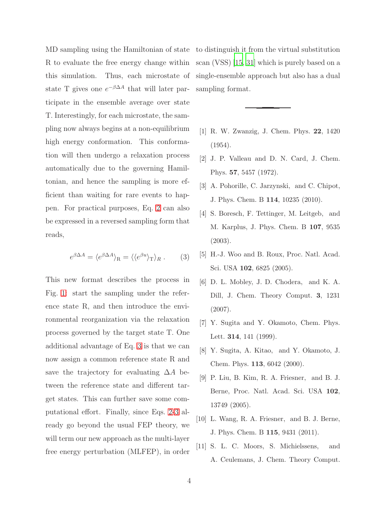MD sampling using the Hamiltonian of state to distinguish it from the virtual substitution R to evaluate the free energy change within this simulation. Thus, each microstate of state T gives one  $e^{-\beta \Delta A}$  that will later participate in the ensemble average over state T. Interestingly, for each microstate, the sampling now always begins at a non-equilibrium high energy conformation. This conformation will then undergo a relaxation process automatically due to the governing Hamiltonian, and hence the sampling is more efficient than waiting for rare events to happen. For practical purposes, Eq. [2](#page-2-1) can also be expressed in a reversed sampling form that reads,

<span id="page-3-6"></span>
$$
e^{\beta \Delta A} = \langle e^{\beta \Delta A} \rangle_{\mathcal{R}} = \langle \langle e^{\beta u} \rangle_{\mathcal{T}} \rangle_{R} . \qquad (3)
$$

This new format describes the process in Fig. [1:](#page-2-0) start the sampling under the reference state R, and then introduce the environmental reorganization via the relaxation process governed by the target state T. One additional advantage of Eq. [3](#page-3-6) is that we can now assign a common reference state R and save the trajectory for evaluating  $\Delta A$  between the reference state and different target states. This can further save some computational effort. Finally, since Eqs. [2-](#page-2-1)[3](#page-3-6) already go beyond the usual FEP theory, we will term our new approach as the multi-layer free energy perturbation (MLFEP), in order scan (VSS) [\[15,](#page-4-3) [31\]](#page-4-15) which is purely based on a single-ensemble approach but also has a dual sampling format.

- <span id="page-3-0"></span>[1] R. W. Zwanzig, J. Chem. Phys. 22, 1420 (1954).
- <span id="page-3-1"></span>[2] J. P. Valleau and D. N. Card, J. Chem. Phys. 57, 5457 (1972).
- <span id="page-3-2"></span>[3] A. Pohorille, C. Jarzynski, and C. Chipot, J. Phys. Chem. B 114, 10235 (2010).
- <span id="page-3-3"></span>[4] S. Boresch, F. Tettinger, M. Leitgeb, and M. Karplus, J. Phys. Chem. B 107, 9535 (2003).
- [5] H.-J. Woo and B. Roux, Proc. Natl. Acad. Sci. USA 102, 6825 (2005).
- <span id="page-3-4"></span>[6] D. L. Mobley, J. D. Chodera, and K. A. Dill, J. Chem. Theory Comput. 3, 1231 (2007).
- <span id="page-3-5"></span>[7] Y. Sugita and Y. Okamoto, Chem. Phys. Lett. 314, 141 (1999).
- [8] Y. Sugita, A. Kitao, and Y. Okamoto, J. Chem. Phys. 113, 6042 (2000).
- [9] P. Liu, B. Kim, R. A. Friesner, and B. J. Berne, Proc. Natl. Acad. Sci. USA 102, 13749 (2005).
- [10] L. Wang, R. A. Friesner, and B. J. Berne, J. Phys. Chem. B 115, 9431 (2011).
- [11] S. L. C. Moors, S. Michielssens, and A. Ceulemans, J. Chem. Theory Comput.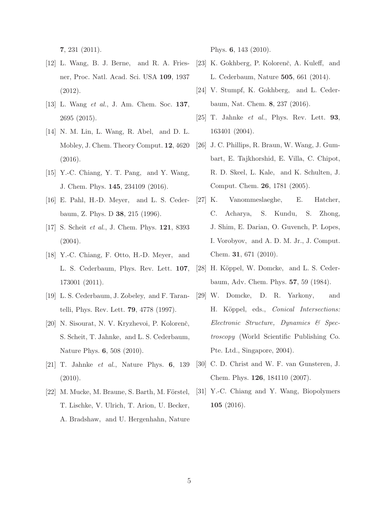7, 231 (2011).

- <span id="page-4-0"></span>[12] L. Wang, B. J. Berne, and R. A. Friesner, Proc. Natl. Acad. Sci. USA 109, 1937 (2012).
- <span id="page-4-1"></span>[13] L. Wang *et al.*, J. Am. Chem. Soc. 137, 2695 (2015).
- <span id="page-4-2"></span>[14] N. M. Lin, L. Wang, R. Abel, and D. L. Mobley, J. Chem. Theory Comput. 12, 4620 (2016).
- <span id="page-4-3"></span>[15] Y.-C. Chiang, Y. T. Pang, and Y. Wang, J. Chem. Phys. 145, 234109 (2016).
- <span id="page-4-4"></span>[16] E. Pahl, H.-D. Meyer, and L. S. Cederbaum, Z. Phys. D 38, 215 (1996).
- <span id="page-4-8"></span>[17] S. Scheit *et al.*, J. Chem. Phys. 121, 8393 (2004).
- <span id="page-4-5"></span>[18] Y.-C. Chiang, F. Otto, H.-D. Meyer, and L. S. Cederbaum, Phys. Rev. Lett. 107, 173001 (2011).
- <span id="page-4-6"></span>[19] L. S. Cederbaum, J. Zobeley, and F. Tarantelli, Phys. Rev. Lett. 79, 4778 (1997).
- [20] N. Sisourat, N. V. Kryzhevoi, P. Kolorenč, S. Scheit, T. Jahnke, and L. S. Cederbaum, Nature Phys. 6, 508 (2010).
- [21] T. Jahnke *et al.*, Nature Phys. 6, 139 (2010).
- $[22]$  M. Mucke, M. Braune, S. Barth, M. Förstel, T. Lischke, V. Ulrich, T. Arion, U. Becker, A. Bradshaw, and U. Hergenhahn, Nature

Phys. 6, 143 (2010).

- [23] K. Gokhberg, P. Kolorenč, A. Kuleff, and L. Cederbaum, Nature 505, 661 (2014).
- <span id="page-4-7"></span>[24] V. Stumpf, K. Gokhberg, and L. Cederbaum, Nat. Chem. 8, 237 (2016).
- <span id="page-4-9"></span>[25] T. Jahnke *et al.*, Phys. Rev. Lett. 93, 163401 (2004).
- <span id="page-4-10"></span>[26] J. C. Phillips, R. Braun, W. Wang, J. Gumbart, E. Tajkhorshid, E. Villa, C. Chipot, R. D. Skeel, L. Kale, and K. Schulten, J. Comput. Chem. 26, 1781 (2005).
- <span id="page-4-11"></span>[27] K. Vanommeslaeghe, E. Hatcher, C. Acharya, S. Kundu, S. Zhong, J. Shim, E. Darian, O. Guvench, P. Lopes, I. Vorobyov, and A. D. M. Jr., J. Comput. Chem. 31, 671 (2010).
- <span id="page-4-12"></span>[28] H. Köppel, W. Domcke, and L. S. Cederbaum, Adv. Chem. Phys. 57, 59 (1984).
- <span id="page-4-13"></span>[29] W. Domcke, D. R. Yarkony, and H. K¨oppel, eds., *Conical Intersections: Electronic Structure, Dynamics & Spectroscopy* (World Scientific Publishing Co. Pte. Ltd., Singapore, 2004).
- <span id="page-4-14"></span>[30] C. D. Christ and W. F. van Gunsteren, J. Chem. Phys. 126, 184110 (2007).
- <span id="page-4-15"></span>[31] Y.-C. Chiang and Y. Wang, Biopolymers 105 (2016).